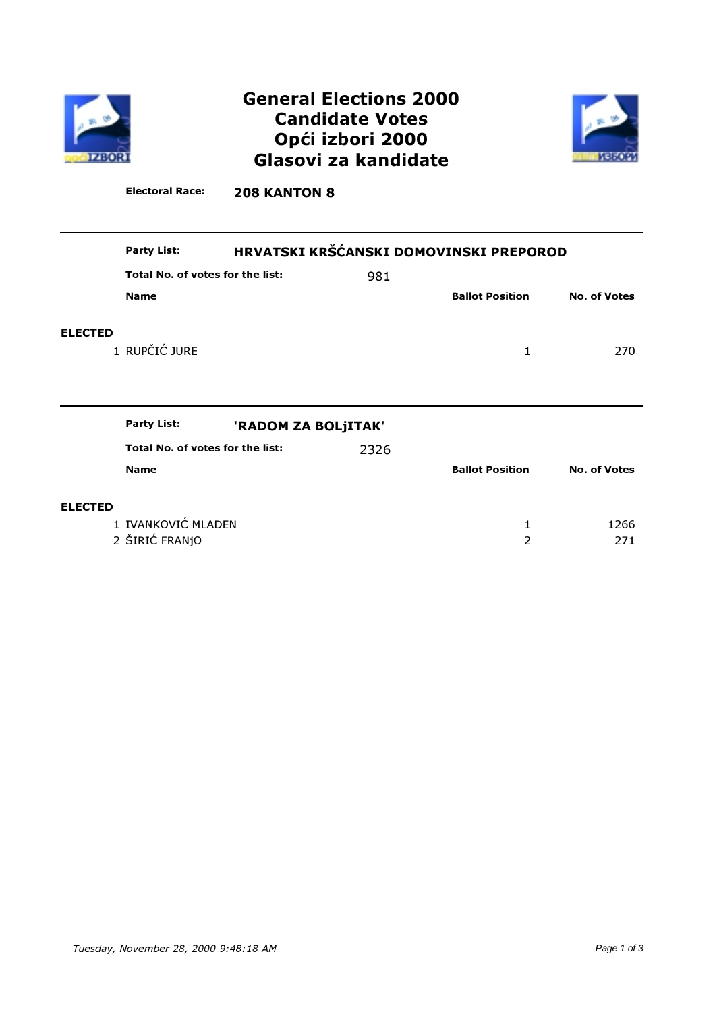

# General Elections 2000 Candidate Votes Opći izbori 2000 Glasovi za kandidate



Electoral Race: 208 KANTON 8

|                | HRVATSKI KRŠĆANSKI DOMOVINSKI PREPOROD<br><b>Party List:</b> |  |      |                        |                     |
|----------------|--------------------------------------------------------------|--|------|------------------------|---------------------|
|                | Total No. of votes for the list:                             |  | 981  |                        |                     |
|                | <b>Name</b>                                                  |  |      | <b>Ballot Position</b> | <b>No. of Votes</b> |
| <b>ELECTED</b> | 1 RUPČIĆ JURE                                                |  |      | 1                      | 270                 |
|                |                                                              |  |      |                        |                     |
|                |                                                              |  |      |                        |                     |
|                | <b>Party List:</b><br>'RADOM ZA BOLJITAK'                    |  |      |                        |                     |
|                | Total No. of votes for the list:                             |  | 2326 |                        |                     |
|                | <b>Name</b>                                                  |  |      | <b>Ballot Position</b> | <b>No. of Votes</b> |
| <b>ELECTED</b> |                                                              |  |      |                        |                     |
|                | 1 IVANKOVIĆ MLADEN                                           |  |      | 1                      | 1266                |
|                | 2 ŠIRIĆ FRANJO                                               |  |      | 2                      | 271                 |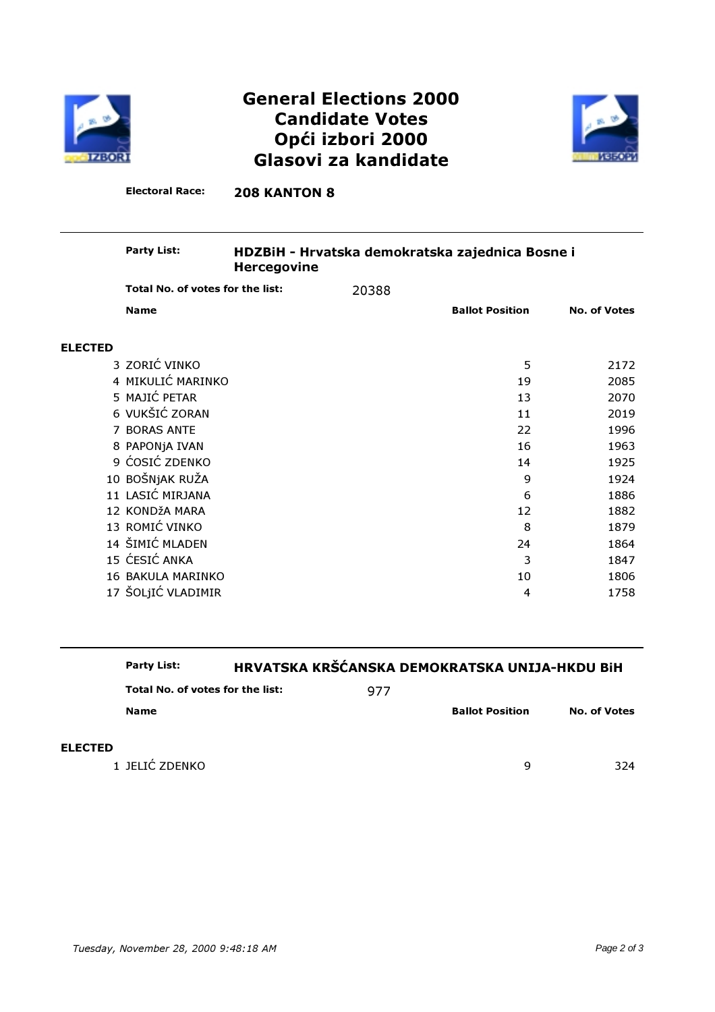

# General Elections 2000 Candidate Votes Opći izbori 2000 Glasovi za kandidate



Electoral Race: 208 KANTON 8

#### HDZBiH - Hrvatska demokratska zajednica Bosne i Hercegovine Party List:

|                | Total No. of votes for the list: | 20388                  |    |                     |
|----------------|----------------------------------|------------------------|----|---------------------|
|                | <b>Name</b>                      | <b>Ballot Position</b> |    | <b>No. of Votes</b> |
| <b>ELECTED</b> |                                  |                        |    |                     |
|                | 3 ZORIĆ VINKO                    |                        | 5  | 2172                |
|                | 4 MIKULIĆ MARINKO                |                        | 19 | 2085                |
|                | 5 MAJIĆ PETAR                    |                        | 13 | 2070                |
|                | 6 VUKŠIĆ ZORAN                   |                        | 11 | 2019                |
|                | 7 BORAS ANTE                     |                        | 22 | 1996                |
|                | 8 PAPONjA IVAN                   |                        | 16 | 1963                |
|                | 9 ĆOSIĆ ZDENKO                   |                        | 14 | 1925                |
|                | 10 BOŠNJAK RUŽA                  |                        | 9  | 1924                |
|                | 11 LASIĆ MIRJANA                 |                        | 6  | 1886                |
|                | 12 KONDŽA MARA                   |                        | 12 | 1882                |
|                | 13 ROMIĆ VINKO                   |                        | 8  | 1879                |
|                | 14 ŠIMIĆ MLADEN                  |                        | 24 | 1864                |
|                | 15 ĆESIĆ ANKA                    |                        | 3  | 1847                |
|                | 16 BAKULA MARINKO                |                        | 10 | 1806                |
|                | 17 ŠOLJIĆ VLADIMIR               |                        | 4  | 1758                |
|                |                                  |                        |    |                     |

### Party List: HRVATSKA KRŠĆANSKA DEMOKRATSKA UNIJA-HKDU BiH

| Total No. of votes for the list: | 977 |                        |                     |
|----------------------------------|-----|------------------------|---------------------|
| <b>Name</b>                      |     | <b>Ballot Position</b> | <b>No. of Votes</b> |
|                                  |     |                        |                     |
|                                  |     |                        |                     |

1 JELIĆ ZDENKO 9 324

ELECTED